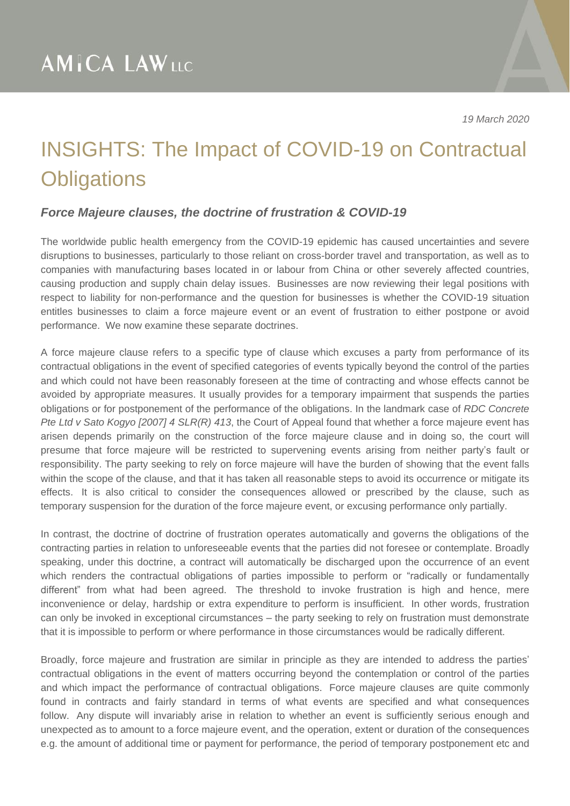*19 March 2020*

### INSIGHTS: The Impact of COVID-19 on Contractual **Obligations**

#### *Force Majeure clauses, the doctrine of frustration & COVID-19*

The worldwide public health emergency from the COVID-19 epidemic has caused uncertainties and severe disruptions to businesses, particularly to those reliant on cross-border travel and transportation, as well as to companies with manufacturing bases located in or labour from China or other severely affected countries, causing production and supply chain delay issues. Businesses are now reviewing their legal positions with respect to liability for non-performance and the question for businesses is whether the COVID-19 situation entitles businesses to claim a force majeure event or an event of frustration to either postpone or avoid performance. We now examine these separate doctrines.

A force majeure clause refers to a specific type of clause which excuses a party from performance of its contractual obligations in the event of specified categories of events typically beyond the control of the parties and which could not have been reasonably foreseen at the time of contracting and whose effects cannot be avoided by appropriate measures. It usually provides for a temporary impairment that suspends the parties obligations or for postponement of the performance of the obligations. In the landmark case of *RDC Concrete Pte Ltd v Sato Kogyo [2007] 4 SLR(R) 413*, the Court of Appeal found that whether a force majeure event has arisen depends primarily on the construction of the force majeure clause and in doing so, the court will presume that force majeure will be restricted to supervening events arising from neither party's fault or responsibility. The party seeking to rely on force majeure will have the burden of showing that the event falls within the scope of the clause, and that it has taken all reasonable steps to avoid its occurrence or mitigate its effects. It is also critical to consider the consequences allowed or prescribed by the clause, such as temporary suspension for the duration of the force majeure event, or excusing performance only partially.

In contrast, the doctrine of doctrine of frustration operates automatically and governs the obligations of the contracting parties in relation to unforeseeable events that the parties did not foresee or contemplate. Broadly speaking, under this doctrine, a contract will automatically be discharged upon the occurrence of an event which renders the contractual obligations of parties impossible to perform or "radically or fundamentally different" from what had been agreed. The threshold to invoke frustration is high and hence, mere inconvenience or delay, hardship or extra expenditure to perform is insufficient. In other words, frustration can only be invoked in exceptional circumstances – the party seeking to rely on frustration must demonstrate that it is impossible to perform or where performance in those circumstances would be radically different.

Broadly, force majeure and frustration are similar in principle as they are intended to address the parties' contractual obligations in the event of matters occurring beyond the contemplation or control of the parties and which impact the performance of contractual obligations. Force majeure clauses are quite commonly found in contracts and fairly standard in terms of what events are specified and what consequences follow. Any dispute will invariably arise in relation to whether an event is sufficiently serious enough and unexpected as to amount to a force majeure event, and the operation, extent or duration of the consequences e.g. the amount of additional time or payment for performance, the period of temporary postponement etc and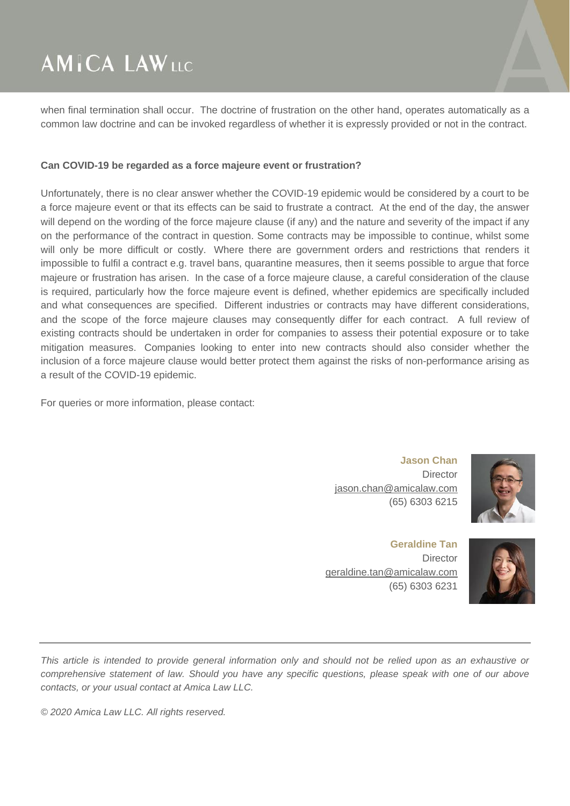## **AMICA LAWLLC**

when final termination shall occur. The doctrine of frustration on the other hand, operates automatically as a common law doctrine and can be invoked regardless of whether it is expressly provided or not in the contract.

#### **Can COVID-19 be regarded as a force majeure event or frustration?**

Unfortunately, there is no clear answer whether the COVID-19 epidemic would be considered by a court to be a force majeure event or that its effects can be said to frustrate a contract. At the end of the day, the answer will depend on the wording of the force majeure clause (if any) and the nature and severity of the impact if any on the performance of the contract in question. Some contracts may be impossible to continue, whilst some will only be more difficult or costly. Where there are government orders and restrictions that renders it impossible to fulfil a contract e.g. travel bans, quarantine measures, then it seems possible to argue that force majeure or frustration has arisen. In the case of a force majeure clause, a careful consideration of the clause is required, particularly how the force majeure event is defined, whether epidemics are specifically included and what consequences are specified. Different industries or contracts may have different considerations, and the scope of the force majeure clauses may consequently differ for each contract. A full review of existing contracts should be undertaken in order for companies to assess their potential exposure or to take mitigation measures. Companies looking to enter into new contracts should also consider whether the inclusion of a force majeure clause would better protect them against the risks of non-performance arising as a result of the COVID-19 epidemic.

For queries or more information, please contact:

**Jason Chan Director** [jason.chan@amicalaw.com](mailto:jason.chan@amicalaw.com) (65) 6303 6215

**Geraldine Tan Director** [geraldine.tan@amicalaw.com](mailto:geraldine.tan@amicalaw.com) (65) 6303 6231



This article is intended to provide general information only and should not be relied upon as an exhaustive or comprehensive statement of law. Should you have any specific questions, please speak with one of our above *contacts, or your usual contact at Amica Law LLC.*

*© 2020 Amica Law LLC. All rights reserved.*